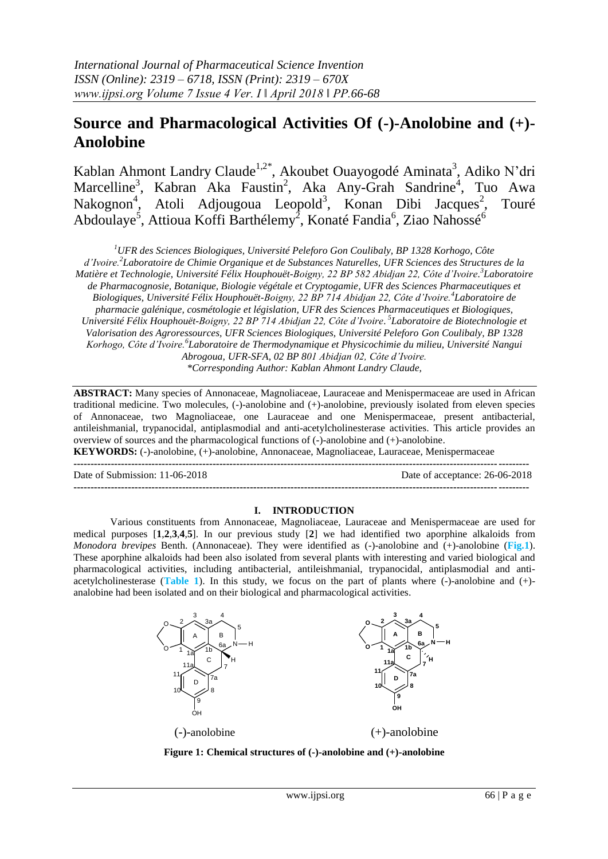# **Source and Pharmacological Activities Of (-)-Anolobine and (+)- Anolobine**

Kablan Ahmont Landry Claude<sup>1,2\*</sup>, Akoubet Ouayogodé Aminata<sup>3</sup>, Adiko N'dri Marcelline<sup>3</sup>, Kabran Aka Faustin<sup>2</sup>, Aka Any-Grah Sandrine<sup>4</sup>, Tuo Awa Nakognon<sup>4</sup>, Atoli Adjougoua Leopold<sup>3</sup>, Konan Dibi Jacques<sup>2</sup>, Touré Abdoulaye<sup>5</sup>, Attioua Koffi Barthélemy<sup>2</sup>, Konaté Fandia<sup>6</sup>, Ziao Nahossé<sup>6</sup>

*<sup>1</sup>UFR des Sciences Biologiques, Université Peleforo Gon Coulibaly, BP 1328 Korhogo, Côte d'Ivoire.<sup>2</sup> Laboratoire de Chimie Organique et de Substances Naturelles, UFR Sciences des Structures de la Matière et Technologie, Université Félix Houphouët-Boigny, 22 BP 582 Abidjan 22, Côte d'Ivoire. 3 Laboratoire de Pharmacognosie, Botanique, Biologie végétale et Cryptogamie, UFR des Sciences Pharmaceutiques et Biologiques, Université Félix Houphouët-Boigny, 22 BP 714 Abidjan 22, Côte d'Ivoire.<sup>4</sup> Laboratoire de pharmacie galénique, cosmétologie et législation, UFR des Sciences Pharmaceutiques et Biologiques, Université Félix Houphouët-Boigny, 22 BP 714 Abidjan 22, Côte d'Ivoire. 5 Laboratoire de Biotechnologie et Valorisation des Agroressources, UFR Sciences Biologiques, Université Peleforo Gon Coulibaly, BP 1328 Korhogo, Côte d'Ivoire.<sup>6</sup> Laboratoire de Thermodynamique et Physicochimie du milieu, Université Nangui Abrogoua, UFR-SFA, 02 BP 801 Abidjan 02, Côte d'Ivoire. \*Corresponding Author: Kablan Ahmont Landry Claude,*

**ABSTRACT:** Many species of Annonaceae, Magnoliaceae, Lauraceae and Menispermaceae are used in African traditional medicine. Two molecules, (-)-anolobine and (+)-anolobine, previously isolated from eleven species of Annonaceae, two Magnoliaceae, one Lauraceae and one Menispermaceae, present antibacterial, antileishmanial, trypanocidal, antiplasmodial and anti-acetylcholinesterase activities. This article provides an overview of sources and the pharmacological functions of (-)-anolobine and (+)-anolobine.

**KEYWORDS:** (-)-anolobine, (+)-anolobine, Annonaceae, Magnoliaceae, Lauraceae, Menispermaceae

**--------------------------------------------------------------------------------------------------------------------------------------** Date of Submission: 11-06-2018 Date of acceptance: 26-06-2018 **--------------------------------------------------------------------------------------------------------------------------------------**

### **I. INTRODUCTION**

Various constituents from Annonaceae, Magnoliaceae, Lauraceae and Menispermaceae are used for medical purposes [**1**,**2**,**3**,**4**,**5**]. In our previous study [**2**] we had identified two aporphine alkaloids from *Monodora brevipes* Benth. (Annonaceae). They were identified as (-)-anolobine and (+)-anolobine (**Fig.1**). These aporphine alkaloids had been also isolated from several plants with interesting and varied biological and pharmacological activities, including antibacterial, antileishmanial, trypanocidal, antiplasmodial and antiacetylcholinesterase (**Table 1**). In this study, we focus on the part of plants where (-)-anolobine and (+) analobine had been isolated and on their biological and pharmacological activities.



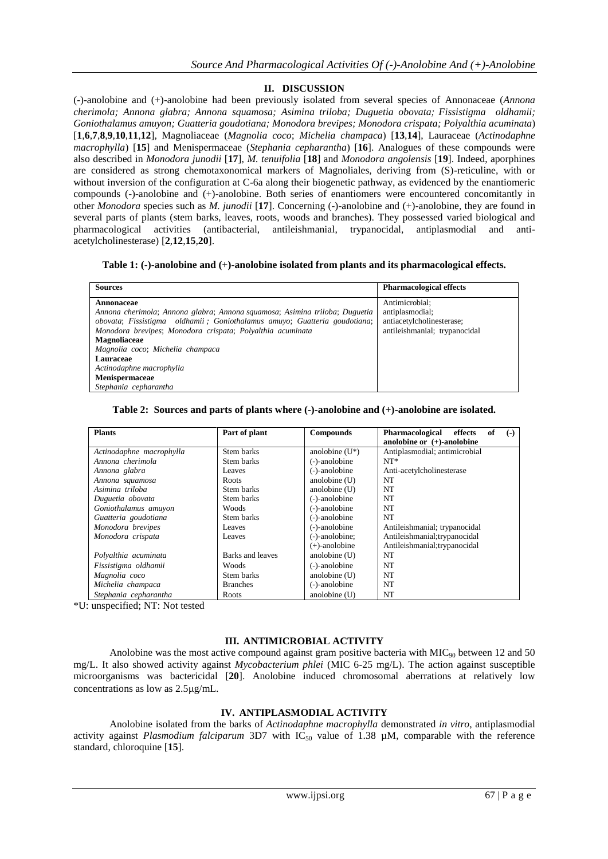# **II. DISCUSSION**

(-)-anolobine and (+)-anolobine had been previously isolated from several species of Annonaceae (*Annona cherimola; Annona glabra; Annona squamosa; Asimina triloba; Duguetia obovata; Fissistigma oldhamii; Goniothalamus amuyon; Guatteria goudotiana; Monodora brevipes; Monodora crispata; Polyalthia acuminata*) [**1**,**6**,**7**,**8**,**9**,**10**,**11**,**12**], Magnoliaceae (*Magnolia coco*; *Michelia champaca*) [**13**,**14**], Lauraceae (*Actinodaphne macrophylla*) [**15**] and Menispermaceae (*Stephania cepharantha*) [**16**]. Analogues of these compounds were also described in *Monodora junodii* [**17**], *M. tenuifolia* [**18**] and *Monodora angolensis* [**19**]. Indeed, aporphines are considered as strong chemotaxonomical markers of Magnoliales, deriving from (S)-reticuline, with or without inversion of the configuration at C-6a along their biogenetic pathway, as evidenced by the enantiomeric compounds (-)-anolobine and (+)-anolobine. Both series of enantiomers were encountered concomitantly in other *Monodora* species such as *M. junodii* [**17**]. Concerning (-)-anolobine and (+)-anolobine, they are found in several parts of plants (stem barks, leaves, roots, woods and branches). They possessed varied biological and pharmacological activities (antibacterial, antileishmanial, trypanocidal, antiplasmodial and antiacetylcholinesterase) [**2**,**12**,**15**,**20**].

### **Table 1: (-)-anolobine and (+)-anolobine isolated from plants and its pharmacological effects.**

| <b>Sources</b>                                                              | <b>Pharmacological effects</b> |
|-----------------------------------------------------------------------------|--------------------------------|
| Annonaceae                                                                  | Antimicrobial:                 |
| Annona cherimola; Annona glabra; Annona squamosa; Asimina triloba; Duguetia | antiplasmodial;                |
| obovata; Fissistigma oldhamii; Goniothalamus amuyo; Guatteria goudotiana;   | antiacetylcholinesterase;      |
| Monodora brevipes; Monodora crispata; Polyalthia acuminata                  | antileishmanial; trypanocidal  |
| <b>Magnoliaceae</b>                                                         |                                |
| Magnolia coco; Michelia champaca                                            |                                |
| Lauraceae                                                                   |                                |
| Actinodaphne macrophylla                                                    |                                |
| Menispermaceae                                                              |                                |
| Stephania cepharantha                                                       |                                |

### **Table 2: Sources and parts of plants where (-)-anolobine and (+)-anolobine are isolated.**

| <b>Plants</b>            | Part of plant    | <b>Compounds</b>  | Pharmacological<br>of<br>effects<br>$(-)$ |
|--------------------------|------------------|-------------------|-------------------------------------------|
|                          |                  |                   | anolobine or $(+)$ -anolobine             |
| Actinodaphne macrophylla | Stem barks       | anolobine $(U^*)$ | Antiplasmodial; antimicrobial             |
| Annona cherimola         | Stem barks       | (-)-anolobine     | $NT^*$                                    |
| Annona glabra            | Leaves           | (-)-anolobine     | Anti-acetylcholinesterase                 |
| Annona squamosa          | Roots            | anolobine $(U)$   | NT                                        |
| Asimina triloba          | Stem barks       | anolobine (U)     | NT                                        |
| Duguetia obovata         | Stem barks       | (-)-anolobine     | NT                                        |
| Goniothalamus amuyon     | Woods            | (-)-anolobine     | NT                                        |
| Guatteria goudotiana     | Stem barks       | (-)-anolobine     | <b>NT</b>                                 |
| Monodora brevipes        | Leaves           | (-)-anolobine     | Antileishmanial; trypanocidal             |
| Monodora crispata        | Leaves           | (-)-anolobine;    | Antileishmanial; trypanocidal             |
|                          |                  | $(+)$ -anolobine  | Antileishmanial; trypanocidal             |
| Polyalthia acuminata     | Barks and leaves | anolobine $(U)$   | NT                                        |
| Fissistigma oldhamii     | Woods            | (-)-anolobine     | NT                                        |
| Magnolia coco            | Stem barks       | anolobine $(U)$   | NT                                        |
| Michelia champaca        | <b>Branches</b>  | (-)-anolobine     | NT                                        |
| Stephania cepharantha    | Roots            | anolobine (U)     | NT                                        |

\*U: unspecified; NT: Not tested

# **III. ANTIMICROBIAL ACTIVITY**

Anolobine was the most active compound against gram positive bacteria with  $MIC<sub>90</sub>$  between 12 and 50 mg/L. It also showed activity against *Mycobacterium phlei* (MIC 6-25 mg/L). The action against susceptible microorganisms was bactericidal [**20**]. Anolobine induced chromosomal aberrations at relatively low concentrations as low as  $2.5\mu$ g/mL.

# **IV. ANTIPLASMODIAL ACTIVITY**

Anolobine isolated from the barks of *Actinodaphne macrophylla* demonstrated *in vitro*, antiplasmodial activity against *Plasmodium falciparum* 3D7 with  $IC_{50}$  value of 1.38  $\mu$ M, comparable with the reference standard, chloroquine [**15**].